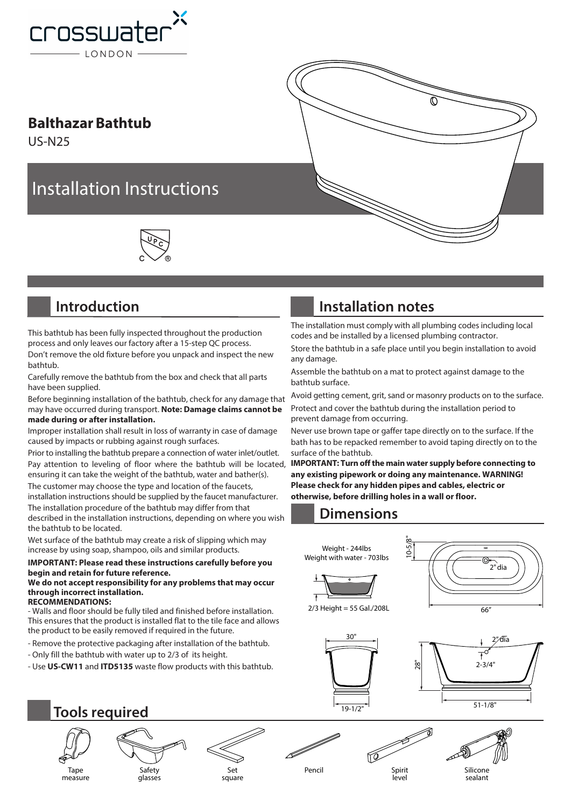

#### **Balthazar Bathtub**

US-N25

# Installation Instructions



### **Introduction**

This bathtub has been fully inspected throughout the production process and only leaves our factory after a 15-step QC process. Don't remove the old fixture before you unpack and inspect the new bathtub.

Carefully remove the bathtub from the box and check that all parts have been supplied.

Before beginning installation of the bathtub, check for any damage that may have occurred during transport. **Note: Damage claims cannot be made during or after installation.**

Improper installation shall result in loss of warranty in case of damage caused by impacts or rubbing against rough surfaces.

Prior to installing the bathtub prepare a connection of water inlet/outlet. Pay attention to leveling of floor where the bathtub will be located, ensuring it can take the weight of the bathtub, water and bather(s).

The customer may choose the type and location of the faucets, installation instructions should be supplied by the faucet manufacturer. The installation procedure of the bathtub may differ from that described in the installation instructions, depending on where you wish

the bathtub to be located. Wet surface of the bathtub may create a risk of slipping which may increase by using soap, shampoo, oils and similar products.

#### **IMPORTANT: Please read these instructions carefully before you begin and retain for future reference.**

#### **We do not accept responsibility for any problems that may occur through incorrect installation. RECOMMENDATIONS:**

- Walls and floor should be fully tiled and finished before installation. This ensures that the product is installed flat to the tile face and allows the product to be easily removed if required in the future.

- Remove the protective packaging after installation of the bathtub.

- Only fill the bathtub with water up to 2/3 of its height.
- Use **US-CW11** and **ITD5135** waste flow products with this bathtub.

## **Installation notes**

The installation must comply with all plumbing codes including local codes and be installed by a licensed plumbing contractor.

Ò

Store the bathtub in a safe place until you begin installation to avoid any damage.

Assemble the bathtub on a mat to protect against damage to the bathtub surface.

Avoid getting cement, grit, sand or masonry products on to the surface. Protect and cover the bathtub during the installation period to prevent damage from occurring.

Never use brown tape or gaffer tape directly on to the surface. If the bath has to be repacked remember to avoid taping directly on to the surface of the bathtub.

**IMPORTANT: Turn off the main water supply before connecting to any existing pipework or doing any maintenance. WARNING! Please check for any hidden pipes and cables, electric or otherwise, before drilling holes in a wall or floor.**

### **Dimensions**





**Tools required**

Tape measure





Pencil Spirit

level

Silicone sealant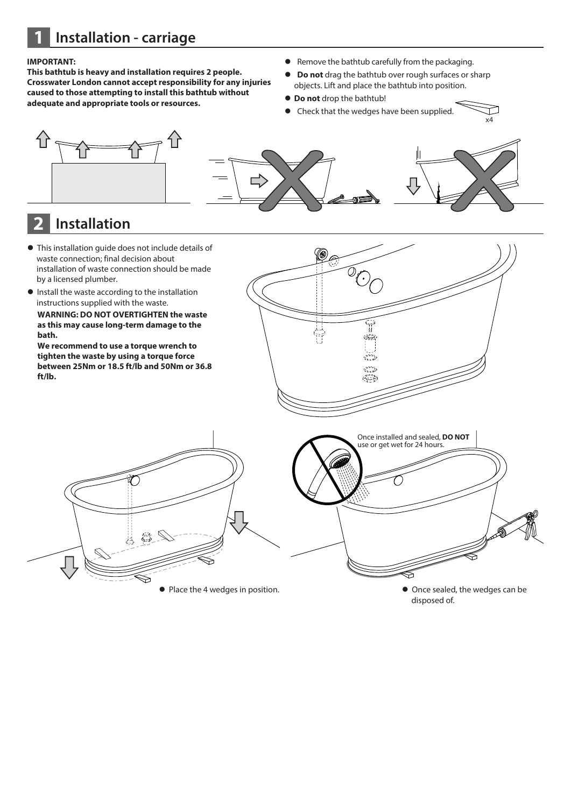**1 Installation - carriage**

#### **IMPORTANT:**

**This bathtub is heavy and installation requires 2 people. Crosswater London cannot accept responsibility for any injuries caused to those attempting to install this bathtub without adequate and appropriate tools or resources.**

- **•** Remove the bathtub carefully from the packaging.
- **Do not** drag the bathtub over rough surfaces or sharp objects. Lift and place the bathtub into position.
- $\bullet$  **Do not** drop the bathtub!
- Check that the wedges have been supplied.

x4

て.



### **2 Installation**

- $\bullet$  This installation guide does not include details of waste connection; final decision about installation of waste connection should be made by a licensed plumber.
- $\bullet$  Install the waste according to the installation instructions supplied with the waste.

**WARNING: DO NOT OVERTIGHTEN the waste as this may cause long-term damage to the bath.** 

**We recommend to use a torque wrench to tighten the waste by using a torque force between 25Nm or 18.5 ft/lb and 50Nm or 36.8 ft/lb.**